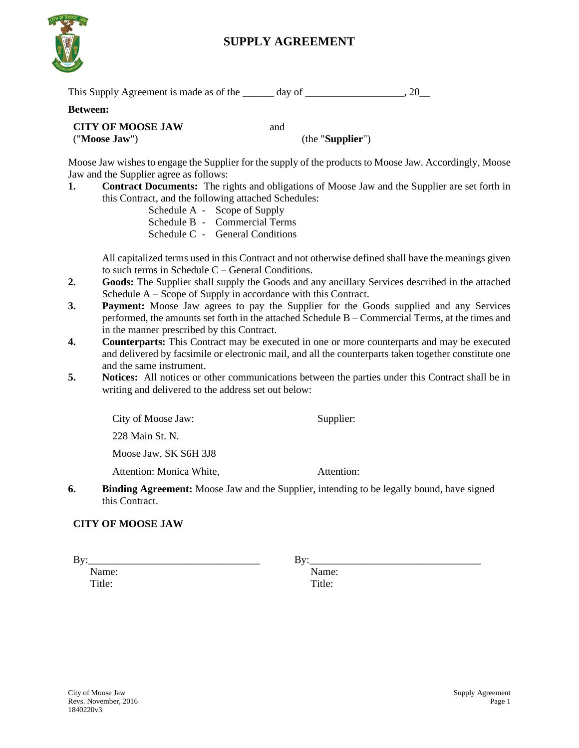

# **SUPPLY AGREEMENT**

| This Supply Agreement is made as of the | day of |  |
|-----------------------------------------|--------|--|
|-----------------------------------------|--------|--|

#### **Between:**

#### **CITY OF MOOSE JAW** ("**Moose Jaw**")

(the "**Supplier**")

Moose Jaw wishes to engage the Supplier for the supply of the products to Moose Jaw. Accordingly, Moose Jaw and the Supplier agree as follows:

and

**1. Contract Documents:** The rights and obligations of Moose Jaw and the Supplier are set forth in this Contract, and the following attached Schedules:

Schedule A - Scope of Supply Schedule B - Commercial Terms Schedule C - General Conditions

All capitalized terms used in this Contract and not otherwise defined shall have the meanings given to such terms in Schedule C – General Conditions.

- **2. Goods:** The Supplier shall supply the Goods and any ancillary Services described in the attached Schedule A – Scope of Supply in accordance with this Contract.
- **3. Payment:** Moose Jaw agrees to pay the Supplier for the Goods supplied and any Services performed, the amounts set forth in the attached Schedule B – Commercial Terms, at the times and in the manner prescribed by this Contract.
- **4. Counterparts:** This Contract may be executed in one or more counterparts and may be executed and delivered by facsimile or electronic mail, and all the counterparts taken together constitute one and the same instrument.
- **5. Notices:** All notices or other communications between the parties under this Contract shall be in writing and delivered to the address set out below:

City of Moose Jaw:

Supplier:

228 Main St. N.

Moose Jaw, SK S6H 3J8

Attention: Monica White,

Attention:

**6. Binding Agreement:** Moose Jaw and the Supplier, intending to be legally bound, have signed this Contract.

#### **CITY OF MOOSE JAW**

By:\_\_\_\_\_\_\_\_\_\_\_\_\_\_\_\_\_\_\_\_\_\_\_\_\_\_\_\_\_\_\_\_\_

By:\_\_\_\_\_\_\_\_\_\_\_\_\_\_\_\_\_\_\_\_\_\_\_\_\_\_\_\_\_\_\_\_\_

Name: Title:

Name: Title: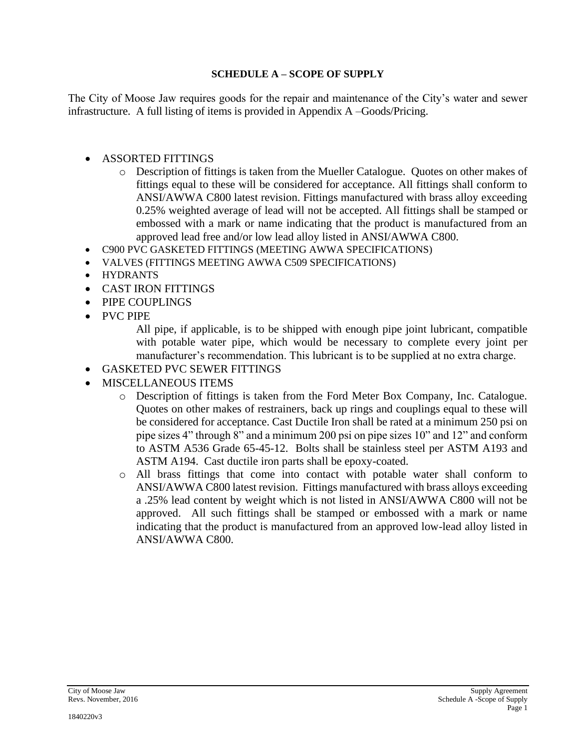### **SCHEDULE A – SCOPE OF SUPPLY**

The City of Moose Jaw requires goods for the repair and maintenance of the City's water and sewer infrastructure. A full listing of items is provided in Appendix A –Goods/Pricing.

# • ASSORTED FITTINGS

- o Description of fittings is taken from the Mueller Catalogue. Quotes on other makes of fittings equal to these will be considered for acceptance. All fittings shall conform to ANSI/AWWA C800 latest revision. Fittings manufactured with brass alloy exceeding 0.25% weighted average of lead will not be accepted. All fittings shall be stamped or embossed with a mark or name indicating that the product is manufactured from an approved lead free and/or low lead alloy listed in ANSI/AWWA C800.
- C900 PVC GASKETED FITTINGS (MEETING AWWA SPECIFICATIONS)
- VALVES (FITTINGS MEETING AWWA C509 SPECIFICATIONS)
- HYDRANTS
- CAST IRON FITTINGS
- PIPE COUPLINGS
- PVC PIPE

All pipe, if applicable, is to be shipped with enough pipe joint lubricant, compatible with potable water pipe, which would be necessary to complete every joint per manufacturer's recommendation. This lubricant is to be supplied at no extra charge.

- GASKETED PVC SEWER FITTINGS
- MISCELLANEOUS ITEMS
	- o Description of fittings is taken from the Ford Meter Box Company, Inc. Catalogue. Quotes on other makes of restrainers, back up rings and couplings equal to these will be considered for acceptance. Cast Ductile Iron shall be rated at a minimum 250 psi on pipe sizes 4" through 8" and a minimum 200 psi on pipe sizes 10" and 12" and conform to ASTM A536 Grade 65-45-12. Bolts shall be stainless steel per ASTM A193 and ASTM A194. Cast ductile iron parts shall be epoxy-coated.
	- o All brass fittings that come into contact with potable water shall conform to ANSI/AWWA C800 latest revision. Fittings manufactured with brass alloys exceeding a .25% lead content by weight which is not listed in ANSI/AWWA C800 will not be approved. All such fittings shall be stamped or embossed with a mark or name indicating that the product is manufactured from an approved low-lead alloy listed in ANSI/AWWA C800.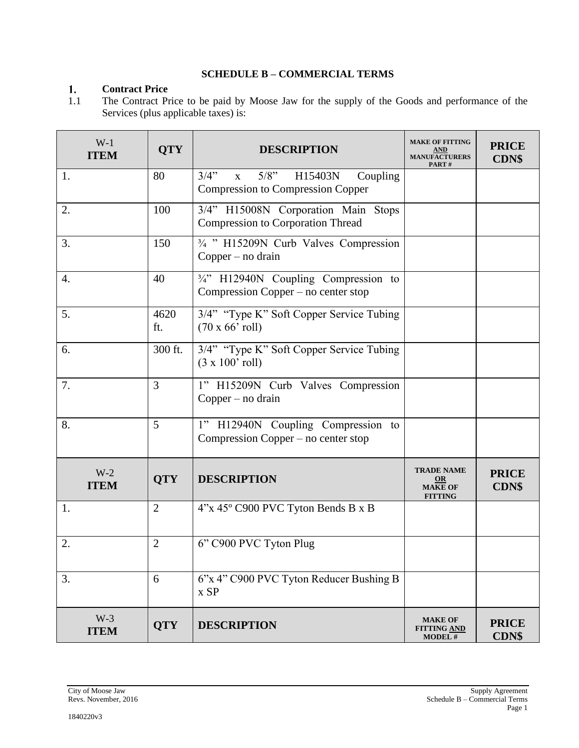# **SCHEDULE B – COMMERCIAL TERMS**

#### $1.$ **Contract Price**

1.1 The Contract Price to be paid by Moose Jaw for the supply of the Goods and performance of the Services (plus applicable taxes) is:

| $W-1$<br><b>ITEM</b> | <b>QTY</b>     | <b>DESCRIPTION</b>                                                                                 | <b>MAKE OF FITTING</b><br><u>AND</u><br><b>MANUFACTURERS</b><br>PART# | <b>PRICE</b><br><b>CDN\$</b> |
|----------------------|----------------|----------------------------------------------------------------------------------------------------|-----------------------------------------------------------------------|------------------------------|
| 1.                   | 80             | 3/4"<br>$5/8$ "<br>H15403N<br>Coupling<br>$\mathbf{X}$<br><b>Compression to Compression Copper</b> |                                                                       |                              |
| 2.                   | 100            | 3/4" H15008N Corporation Main Stops<br><b>Compression to Corporation Thread</b>                    |                                                                       |                              |
| 3.                   | 150            | 3/4 " H15209N Curb Valves Compression<br>$Copper - no drain$                                       |                                                                       |                              |
| 4.                   | 40             | 3/4" H12940N Coupling Compression to<br>Compression Copper – no center stop                        |                                                                       |                              |
| 5.                   | 4620<br>ft.    | 3/4" "Type K" Soft Copper Service Tubing<br>$(70 \times 66'$ roll)                                 |                                                                       |                              |
| 6.                   | 300 ft.        | 3/4" "Type K" Soft Copper Service Tubing<br>$(3 \times 100'$ roll)                                 |                                                                       |                              |
| 7.                   | 3              | 1" H15209N Curb Valves Compression<br>$Copper - no drain$                                          |                                                                       |                              |
| 8.                   | 5              | 1" H12940N Coupling Compression to<br>Compression Copper – no center stop                          |                                                                       |                              |
| $W-2$<br><b>ITEM</b> | <b>QTY</b>     | <b>DESCRIPTION</b>                                                                                 | <b>TRADE NAME</b><br><b>OR</b><br><b>MAKE OF</b><br><b>FITTING</b>    | <b>PRICE</b><br><b>CDN\$</b> |
| 1.                   | $\overline{2}$ | 4"x 45° C900 PVC Tyton Bends B x B                                                                 |                                                                       |                              |
| 2.                   | $\overline{2}$ | 6" C900 PVC Tyton Plug                                                                             |                                                                       |                              |
| 3.                   | 6              | 6"x 4" C900 PVC Tyton Reducer Bushing B<br>x SP                                                    |                                                                       |                              |
| $W-3$<br><b>ITEM</b> | <b>QTY</b>     | <b>DESCRIPTION</b>                                                                                 | <b>MAKE OF</b><br><b>FITTING AND</b><br><b>MODEL#</b>                 | <b>PRICE</b><br><b>CDN\$</b> |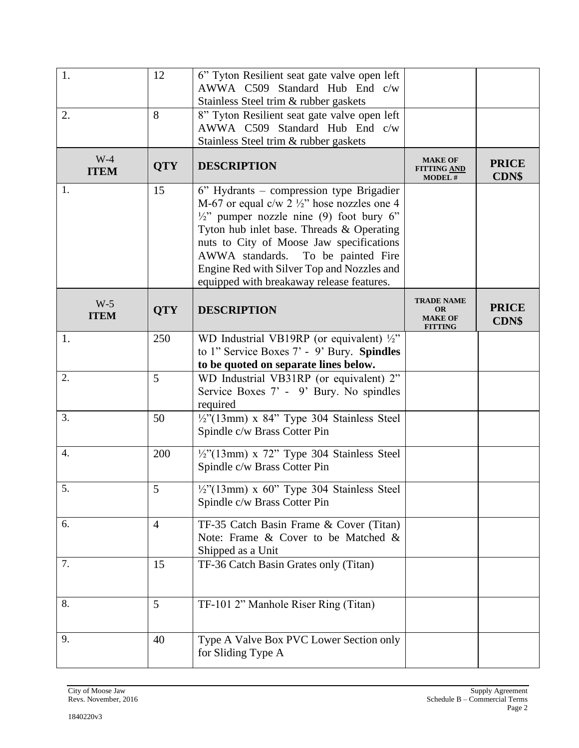| 1.<br>2.             | 12<br>8        | 6" Tyton Resilient seat gate valve open left<br>AWWA C509 Standard Hub End c/w<br>Stainless Steel trim & rubber gaskets<br>8" Tyton Resilient seat gate valve open left<br>AWWA C509 Standard Hub End c/w                                                                                                                                                                            |                                                                    |                              |
|----------------------|----------------|--------------------------------------------------------------------------------------------------------------------------------------------------------------------------------------------------------------------------------------------------------------------------------------------------------------------------------------------------------------------------------------|--------------------------------------------------------------------|------------------------------|
| $W-4$<br><b>ITEM</b> | <b>QTY</b>     | Stainless Steel trim & rubber gaskets<br><b>DESCRIPTION</b>                                                                                                                                                                                                                                                                                                                          | <b>MAKE OF</b><br><b>FITTING AND</b><br><b>MODEL#</b>              | <b>PRICE</b><br><b>CDN\$</b> |
| 1.                   | 15             | 6" Hydrants – compression type Brigadier<br>M-67 or equal c/w 2 $\frac{1}{2}$ hose nozzles one 4<br>$\frac{1}{2}$ " pumper nozzle nine (9) foot bury 6"<br>Tyton hub inlet base. Threads & Operating<br>nuts to City of Moose Jaw specifications<br>AWWA standards.<br>To be painted Fire<br>Engine Red with Silver Top and Nozzles and<br>equipped with breakaway release features. |                                                                    |                              |
| $W-5$<br><b>ITEM</b> | <b>QTY</b>     | <b>DESCRIPTION</b>                                                                                                                                                                                                                                                                                                                                                                   | <b>TRADE NAME</b><br><b>OR</b><br><b>MAKE OF</b><br><b>FITTING</b> | <b>PRICE</b><br><b>CDN\$</b> |
| 1.                   | 250            | WD Industrial VB19RP (or equivalent) 1/2"<br>to 1" Service Boxes 7' - 9' Bury. Spindles<br>to be quoted on separate lines below.                                                                                                                                                                                                                                                     |                                                                    |                              |
| 2.                   | 5              | WD Industrial VB31RP (or equivalent) 2"<br>Service Boxes 7' - 9' Bury. No spindles<br>required                                                                                                                                                                                                                                                                                       |                                                                    |                              |
| 3.                   | 50             | $\frac{1}{2}$ "(13mm) x 84" Type 304 Stainless Steel<br>Spindle c/w Brass Cotter Pin                                                                                                                                                                                                                                                                                                 |                                                                    |                              |
| 4.                   | 200            | $\frac{1}{2}$ '(13mm) x 72'' Type 304 Stainless Steel<br>Spindle c/w Brass Cotter Pin                                                                                                                                                                                                                                                                                                |                                                                    |                              |
| 5.                   | 5              | $\frac{1}{2}$ "(13mm) x 60" Type 304 Stainless Steel<br>Spindle c/w Brass Cotter Pin                                                                                                                                                                                                                                                                                                 |                                                                    |                              |
| 6.                   | $\overline{4}$ | TF-35 Catch Basin Frame & Cover (Titan)<br>Note: Frame & Cover to be Matched &<br>Shipped as a Unit                                                                                                                                                                                                                                                                                  |                                                                    |                              |
| 7.                   | 15             | TF-36 Catch Basin Grates only (Titan)                                                                                                                                                                                                                                                                                                                                                |                                                                    |                              |
| 8.                   | 5              | TF-101 2" Manhole Riser Ring (Titan)                                                                                                                                                                                                                                                                                                                                                 |                                                                    |                              |
| 9.                   | 40             | Type A Valve Box PVC Lower Section only<br>for Sliding Type A                                                                                                                                                                                                                                                                                                                        |                                                                    |                              |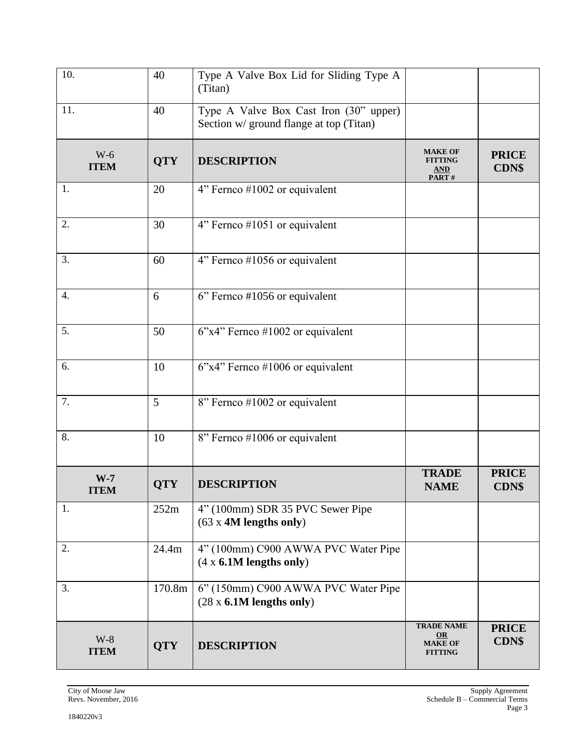| 10.                  | 40         | Type A Valve Box Lid for Sliding Type A<br>(Titan)                                |                                                                   |                              |
|----------------------|------------|-----------------------------------------------------------------------------------|-------------------------------------------------------------------|------------------------------|
| 11.                  | 40         | Type A Valve Box Cast Iron (30" upper)<br>Section w/ ground flange at top (Titan) |                                                                   |                              |
| $W-6$<br><b>ITEM</b> | <b>QTY</b> | <b>DESCRIPTION</b>                                                                | <b>MAKE OF</b><br><b>FITTING</b><br><b>AND</b><br>PART#           | <b>PRICE</b><br><b>CDN\$</b> |
| 1.                   | 20         | 4" Fernco #1002 or equivalent                                                     |                                                                   |                              |
| 2.                   | 30         | 4" Fernco #1051 or equivalent                                                     |                                                                   |                              |
| 3.                   | 60         | 4" Fernco #1056 or equivalent                                                     |                                                                   |                              |
| $\overline{4}$ .     | 6          | 6" Fernco #1056 or equivalent                                                     |                                                                   |                              |
| 5.                   | 50         | $6"x4"$ Fernco #1002 or equivalent                                                |                                                                   |                              |
| 6.                   | 10         | $6$ "x4" Fernco #1006 or equivalent                                               |                                                                   |                              |
| 7.                   | 5          | 8" Fernco #1002 or equivalent                                                     |                                                                   |                              |
| 8.                   | 10         | 8" Fernco #1006 or equivalent                                                     |                                                                   |                              |
| $W-7$<br><b>ITEM</b> | <b>QTY</b> | <b>DESCRIPTION</b>                                                                | <b>TRADE</b><br><b>NAME</b>                                       | <b>PRICE</b><br><b>CDN\$</b> |
| 1.                   | 252m       | 4" (100mm) SDR 35 PVC Sewer Pipe<br>$(63 \times 4M$ lengths only)                 |                                                                   |                              |
| 2.                   | 24.4m      | 4" (100mm) C900 AWWA PVC Water Pipe<br>$(4 \times 6.1M$ lengths only)             |                                                                   |                              |
| 3.                   | 170.8m     | 6" (150mm) C900 AWWA PVC Water Pipe<br>$(28 \times 6.1M$ lengths only)            |                                                                   |                              |
| $W-8$<br><b>ITEM</b> | <b>QTY</b> | <b>DESCRIPTION</b>                                                                | <b>TRADE NAME</b><br>$\Omega$<br><b>MAKE OF</b><br><b>FITTING</b> | <b>PRICE</b><br><b>CDN\$</b> |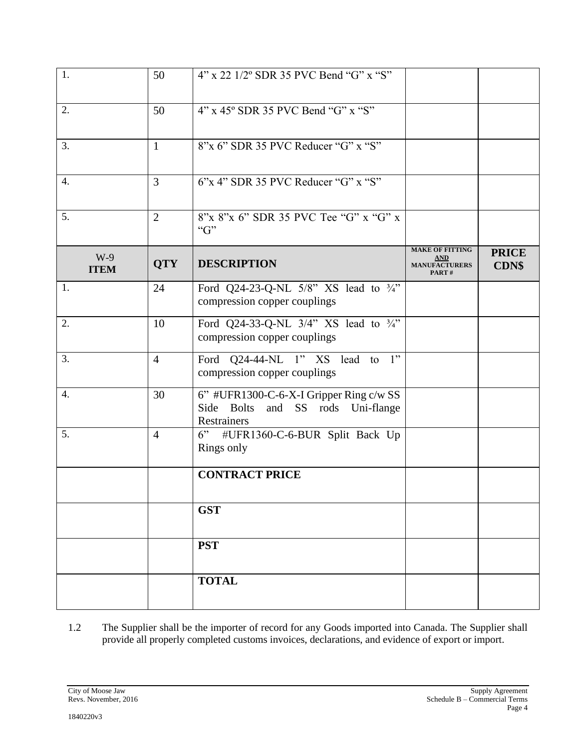| 1.                   | 50             | 4" x 22 1/2° SDR 35 PVC Bend "G" x "S"                                                      |                                                                       |                              |
|----------------------|----------------|---------------------------------------------------------------------------------------------|-----------------------------------------------------------------------|------------------------------|
| 2.                   | 50             | 4" x 45° SDR 35 PVC Bend "G" x "S"                                                          |                                                                       |                              |
| 3.                   | $\mathbf{1}$   | 8"x 6" SDR 35 PVC Reducer "G" x "S"                                                         |                                                                       |                              |
| 4.                   | 3              | $6$ "x 4" SDR 35 PVC Reducer "G" x "S"                                                      |                                                                       |                              |
| 5.                   | $\overline{2}$ | 8"x 8"x 6" SDR 35 PVC Tee "G" x "G" x<br>G                                                  |                                                                       |                              |
| $W-9$<br><b>ITEM</b> | <b>QTY</b>     | <b>DESCRIPTION</b>                                                                          | <b>MAKE OF FITTING</b><br><u>AND</u><br><b>MANUFACTURERS</b><br>PART# | <b>PRICE</b><br><b>CDN\$</b> |
| 1.                   | 24             | Ford Q24-23-Q-NL $5/8$ " XS lead to $\frac{3}{4}$ "<br>compression copper couplings         |                                                                       |                              |
| 2.                   | 10             | Ford Q24-33-Q-NL 3/4" XS lead to 3/4"<br>compression copper couplings                       |                                                                       |                              |
| 3.                   | $\overline{4}$ | Ford Q24-44-NL 1" XS lead to 1"<br>compression copper couplings                             |                                                                       |                              |
| 4.                   | 30             | 6" #UFR1300-C-6-X-I Gripper Ring c/w SS<br>Side Bolts and SS rods Uni-flange<br>Restrainers |                                                                       |                              |
| 5.                   | $\overline{4}$ | 6"<br>#UFR1360-C-6-BUR Split Back Up<br>Rings only                                          |                                                                       |                              |
|                      |                | <b>CONTRACT PRICE</b>                                                                       |                                                                       |                              |
|                      |                | <b>GST</b>                                                                                  |                                                                       |                              |
|                      |                | <b>PST</b>                                                                                  |                                                                       |                              |
|                      |                | <b>TOTAL</b>                                                                                |                                                                       |                              |

1.2 The Supplier shall be the importer of record for any Goods imported into Canada. The Supplier shall provide all properly completed customs invoices, declarations, and evidence of export or import.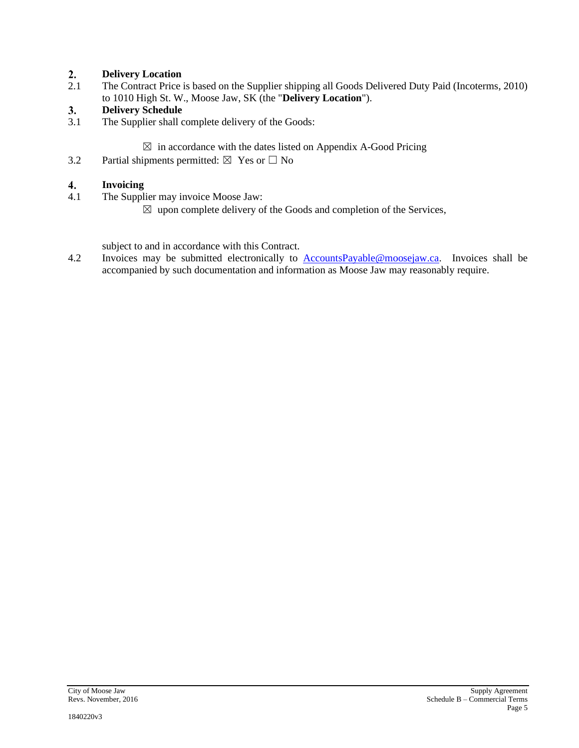#### $2.$ **Delivery Location**

2.1 The Contract Price is based on the Supplier shipping all Goods Delivered Duty Paid (Incoterms, 2010) to 1010 High St. W., Moose Jaw, SK (the "**Delivery Location**").

#### $3.$ **Delivery Schedule**

3.1 The Supplier shall complete delivery of the Goods:

 $\boxtimes$  in accordance with the dates listed on Appendix A-Good Pricing

3.2 Partial shipments permitted:  $\boxtimes$  Yes or  $\Box$  No

#### 4. **Invoicing**

- 4.1 The Supplier may invoice Moose Jaw:
	- $\boxtimes$  upon complete delivery of the Goods and completion of the Services,

subject to and in accordance with this Contract.

4.2 Invoices may be submitted electronically to **[AccountsPayable@moosejaw.ca.](mailto:AccountsPayable@moosejaw.ca)** Invoices shall be accompanied by such documentation and information as Moose Jaw may reasonably require.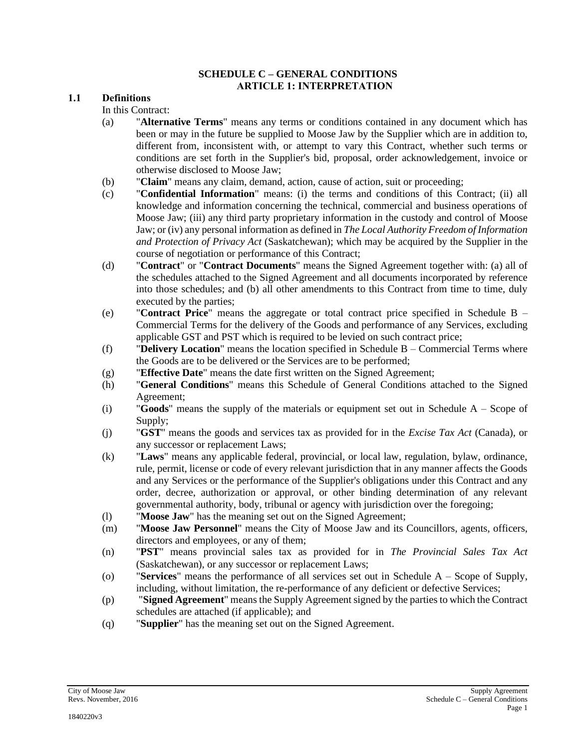#### **SCHEDULE C – GENERAL CONDITIONS ARTICLE 1: INTERPRETATION**

#### **1.1 Definitions**

In this Contract:

- (a) "**Alternative Terms**" means any terms or conditions contained in any document which has been or may in the future be supplied to Moose Jaw by the Supplier which are in addition to, different from, inconsistent with, or attempt to vary this Contract, whether such terms or conditions are set forth in the Supplier's bid, proposal, order acknowledgement, invoice or otherwise disclosed to Moose Jaw;
- (b) "**Claim**" means any claim, demand, action, cause of action, suit or proceeding;
- (c) "**Confidential Information**" means: (i) the terms and conditions of this Contract; (ii) all knowledge and information concerning the technical, commercial and business operations of Moose Jaw; (iii) any third party proprietary information in the custody and control of Moose Jaw; or (iv) any personal information as defined in *The Local Authority Freedom of Information and Protection of Privacy Act* (Saskatchewan); which may be acquired by the Supplier in the course of negotiation or performance of this Contract;
- (d) "**Contract**" or "**Contract Documents**" means the Signed Agreement together with: (a) all of the schedules attached to the Signed Agreement and all documents incorporated by reference into those schedules; and (b) all other amendments to this Contract from time to time, duly executed by the parties;
- (e) "**Contract Price**" means the aggregate or total contract price specified in Schedule B Commercial Terms for the delivery of the Goods and performance of any Services, excluding applicable GST and PST which is required to be levied on such contract price;
- (f) "**Delivery Location**" means the location specified in Schedule B Commercial Terms where the Goods are to be delivered or the Services are to be performed;
- (g) "**Effective Date**" means the date first written on the Signed Agreement;
- (h) "**General Conditions**" means this Schedule of General Conditions attached to the Signed Agreement;
- (i) "**Goods**" means the supply of the materials or equipment set out in Schedule A Scope of Supply;
- (j) "**GST**" means the goods and services tax as provided for in the *Excise Tax Act* (Canada), or any successor or replacement Laws;
- (k) "**Laws**" means any applicable federal, provincial, or local law, regulation, bylaw, ordinance, rule, permit, license or code of every relevant jurisdiction that in any manner affects the Goods and any Services or the performance of the Supplier's obligations under this Contract and any order, decree, authorization or approval, or other binding determination of any relevant governmental authority, body, tribunal or agency with jurisdiction over the foregoing;
- (l) "**Moose Jaw**" has the meaning set out on the Signed Agreement;
- (m) "**Moose Jaw Personnel**" means the City of Moose Jaw and its Councillors, agents, officers, directors and employees, or any of them;
- (n) "**PST**" means provincial sales tax as provided for in *The Provincial Sales Tax Act* (Saskatchewan), or any successor or replacement Laws;
- (o) "**Services**" means the performance of all services set out in Schedule A Scope of Supply, including, without limitation, the re-performance of any deficient or defective Services;
- (p) "**Signed Agreement**" means the Supply Agreement signed by the parties to which the Contract schedules are attached (if applicable); and
- (q) "**Supplier**" has the meaning set out on the Signed Agreement.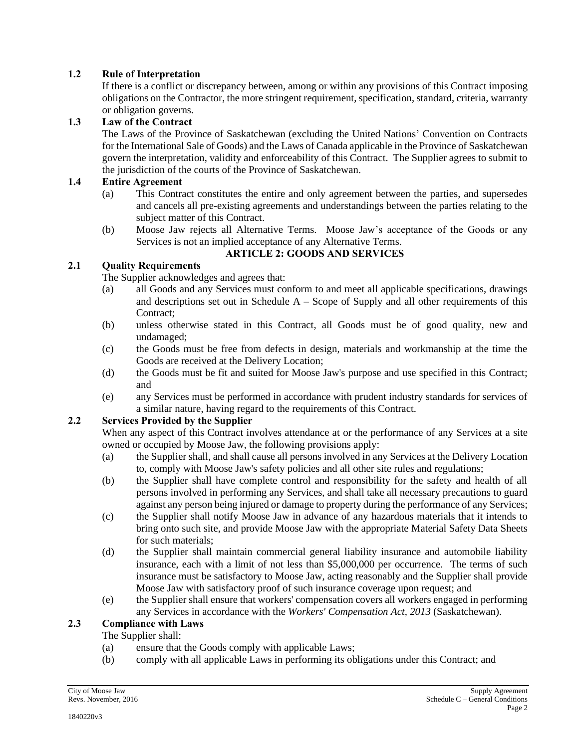# **1.2 Rule of Interpretation**

If there is a conflict or discrepancy between, among or within any provisions of this Contract imposing obligations on the Contractor, the more stringent requirement, specification, standard, criteria, warranty or obligation governs.

## **1.3 Law of the Contract**

The Laws of the Province of Saskatchewan (excluding the United Nations' Convention on Contracts for the International Sale of Goods) and the Laws of Canada applicable in the Province of Saskatchewan govern the interpretation, validity and enforceability of this Contract. The Supplier agrees to submit to the jurisdiction of the courts of the Province of Saskatchewan.

### **1.4 Entire Agreement**

- (a) This Contract constitutes the entire and only agreement between the parties, and supersedes and cancels all pre-existing agreements and understandings between the parties relating to the subject matter of this Contract.
- (b) Moose Jaw rejects all Alternative Terms. Moose Jaw's acceptance of the Goods or any Services is not an implied acceptance of any Alternative Terms.

### **ARTICLE 2: GOODS AND SERVICES**

### **2.1 Quality Requirements**

The Supplier acknowledges and agrees that:

- (a) all Goods and any Services must conform to and meet all applicable specifications, drawings and descriptions set out in Schedule  $A -$ Scope of Supply and all other requirements of this Contract;
- (b) unless otherwise stated in this Contract, all Goods must be of good quality, new and undamaged;
- (c) the Goods must be free from defects in design, materials and workmanship at the time the Goods are received at the Delivery Location;
- (d) the Goods must be fit and suited for Moose Jaw's purpose and use specified in this Contract; and
- (e) any Services must be performed in accordance with prudent industry standards for services of a similar nature, having regard to the requirements of this Contract.

## **2.2 Services Provided by the Supplier**

When any aspect of this Contract involves attendance at or the performance of any Services at a site owned or occupied by Moose Jaw, the following provisions apply:

- (a) the Supplier shall, and shall cause all persons involved in any Services at the Delivery Location to, comply with Moose Jaw's safety policies and all other site rules and regulations;
- (b) the Supplier shall have complete control and responsibility for the safety and health of all persons involved in performing any Services, and shall take all necessary precautions to guard against any person being injured or damage to property during the performance of any Services;
- (c) the Supplier shall notify Moose Jaw in advance of any hazardous materials that it intends to bring onto such site, and provide Moose Jaw with the appropriate Material Safety Data Sheets for such materials;
- (d) the Supplier shall maintain commercial general liability insurance and automobile liability insurance, each with a limit of not less than \$5,000,000 per occurrence. The terms of such insurance must be satisfactory to Moose Jaw, acting reasonably and the Supplier shall provide Moose Jaw with satisfactory proof of such insurance coverage upon request; and
- (e) the Supplier shall ensure that workers' compensation covers all workers engaged in performing any Services in accordance with the *Workers' Compensation Act, 2013* (Saskatchewan).

# **2.3 Compliance with Laws**

# The Supplier shall:

- (a) ensure that the Goods comply with applicable Laws;
- (b) comply with all applicable Laws in performing its obligations under this Contract; and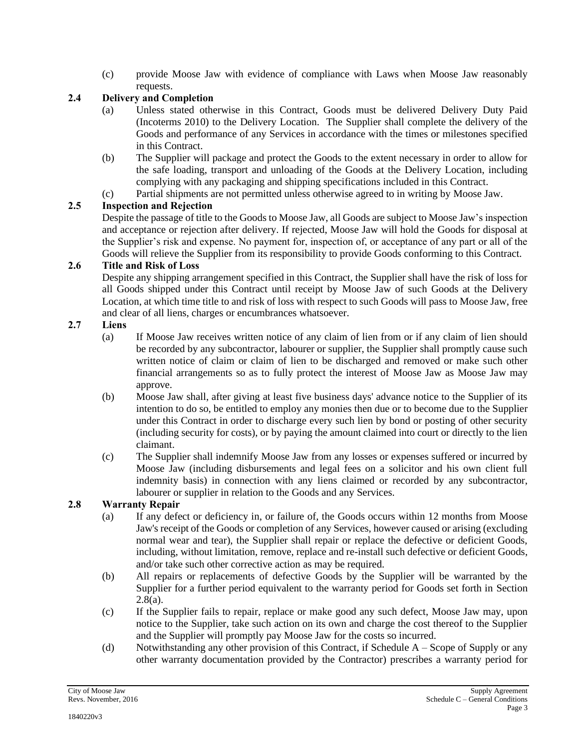(c) provide Moose Jaw with evidence of compliance with Laws when Moose Jaw reasonably requests.

# **2.4 Delivery and Completion**

- (a) Unless stated otherwise in this Contract, Goods must be delivered Delivery Duty Paid (Incoterms 2010) to the Delivery Location. The Supplier shall complete the delivery of the Goods and performance of any Services in accordance with the times or milestones specified in this Contract.
- (b) The Supplier will package and protect the Goods to the extent necessary in order to allow for the safe loading, transport and unloading of the Goods at the Delivery Location, including complying with any packaging and shipping specifications included in this Contract.
- (c) Partial shipments are not permitted unless otherwise agreed to in writing by Moose Jaw.

# **2.5 Inspection and Rejection**

Despite the passage of title to the Goods to Moose Jaw, all Goods are subject to Moose Jaw's inspection and acceptance or rejection after delivery. If rejected, Moose Jaw will hold the Goods for disposal at the Supplier's risk and expense. No payment for, inspection of, or acceptance of any part or all of the Goods will relieve the Supplier from its responsibility to provide Goods conforming to this Contract.

### **2.6 Title and Risk of Loss**

Despite any shipping arrangement specified in this Contract, the Supplier shall have the risk of loss for all Goods shipped under this Contract until receipt by Moose Jaw of such Goods at the Delivery Location, at which time title to and risk of loss with respect to such Goods will pass to Moose Jaw, free and clear of all liens, charges or encumbrances whatsoever.

### **2.7 Liens**

- (a) If Moose Jaw receives written notice of any claim of lien from or if any claim of lien should be recorded by any subcontractor, labourer or supplier, the Supplier shall promptly cause such written notice of claim or claim of lien to be discharged and removed or make such other financial arrangements so as to fully protect the interest of Moose Jaw as Moose Jaw may approve.
- (b) Moose Jaw shall, after giving at least five business days' advance notice to the Supplier of its intention to do so, be entitled to employ any monies then due or to become due to the Supplier under this Contract in order to discharge every such lien by bond or posting of other security (including security for costs), or by paying the amount claimed into court or directly to the lien claimant.
- (c) The Supplier shall indemnify Moose Jaw from any losses or expenses suffered or incurred by Moose Jaw (including disbursements and legal fees on a solicitor and his own client full indemnity basis) in connection with any liens claimed or recorded by any subcontractor, labourer or supplier in relation to the Goods and any Services.

# **2.8 Warranty Repair**

- (a) If any defect or deficiency in, or failure of, the Goods occurs within 12 months from Moose Jaw's receipt of the Goods or completion of any Services, however caused or arising (excluding normal wear and tear), the Supplier shall repair or replace the defective or deficient Goods, including, without limitation, remove, replace and re-install such defective or deficient Goods, and/or take such other corrective action as may be required.
- (b) All repairs or replacements of defective Goods by the Supplier will be warranted by the Supplier for a further period equivalent to the warranty period for Goods set forth in Section  $2.8(a)$ .
- (c) If the Supplier fails to repair, replace or make good any such defect, Moose Jaw may, upon notice to the Supplier, take such action on its own and charge the cost thereof to the Supplier and the Supplier will promptly pay Moose Jaw for the costs so incurred.
- (d) Notwithstanding any other provision of this Contract, if Schedule  $A -$  Scope of Supply or any other warranty documentation provided by the Contractor) prescribes a warranty period for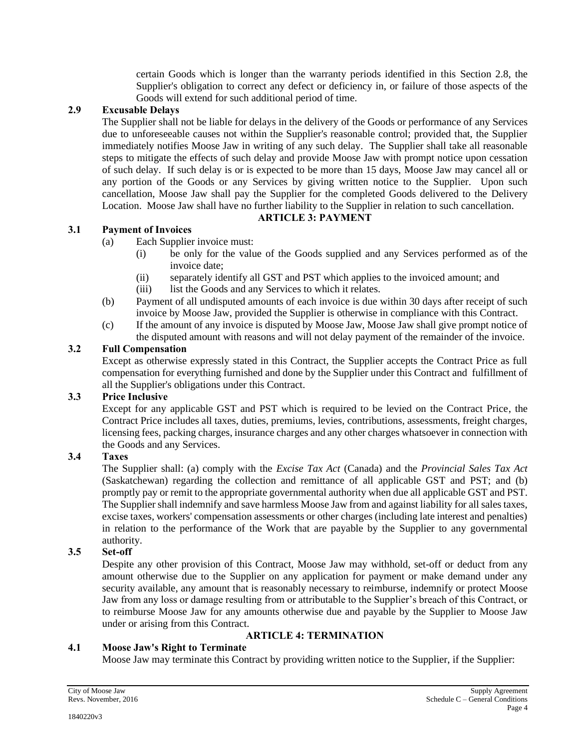certain Goods which is longer than the warranty periods identified in this Section 2.8, the Supplier's obligation to correct any defect or deficiency in, or failure of those aspects of the Goods will extend for such additional period of time.

### **2.9 Excusable Delays**

The Supplier shall not be liable for delays in the delivery of the Goods or performance of any Services due to unforeseeable causes not within the Supplier's reasonable control; provided that, the Supplier immediately notifies Moose Jaw in writing of any such delay. The Supplier shall take all reasonable steps to mitigate the effects of such delay and provide Moose Jaw with prompt notice upon cessation of such delay. If such delay is or is expected to be more than 15 days, Moose Jaw may cancel all or any portion of the Goods or any Services by giving written notice to the Supplier. Upon such cancellation, Moose Jaw shall pay the Supplier for the completed Goods delivered to the Delivery Location. Moose Jaw shall have no further liability to the Supplier in relation to such cancellation.

# **ARTICLE 3: PAYMENT**

### **3.1 Payment of Invoices**

- (a) Each Supplier invoice must:
	- (i) be only for the value of the Goods supplied and any Services performed as of the invoice date;
	- (ii) separately identify all GST and PST which applies to the invoiced amount; and
	- (iii) list the Goods and any Services to which it relates.
- (b) Payment of all undisputed amounts of each invoice is due within 30 days after receipt of such invoice by Moose Jaw, provided the Supplier is otherwise in compliance with this Contract.
- (c) If the amount of any invoice is disputed by Moose Jaw, Moose Jaw shall give prompt notice of the disputed amount with reasons and will not delay payment of the remainder of the invoice.

### **3.2 Full Compensation**

Except as otherwise expressly stated in this Contract, the Supplier accepts the Contract Price as full compensation for everything furnished and done by the Supplier under this Contract and fulfillment of all the Supplier's obligations under this Contract.

# **3.3 Price Inclusive**

Except for any applicable GST and PST which is required to be levied on the Contract Price, the Contract Price includes all taxes, duties, premiums, levies, contributions, assessments, freight charges, licensing fees, packing charges, insurance charges and any other charges whatsoever in connection with the Goods and any Services.

# **3.4 Taxes**

The Supplier shall: (a) comply with the *Excise Tax Act* (Canada) and the *Provincial Sales Tax Act* (Saskatchewan) regarding the collection and remittance of all applicable GST and PST; and (b) promptly pay or remit to the appropriate governmental authority when due all applicable GST and PST. The Supplier shall indemnify and save harmless Moose Jaw from and against liability for all sales taxes, excise taxes, workers' compensation assessments or other charges (including late interest and penalties) in relation to the performance of the Work that are payable by the Supplier to any governmental authority.

# **3.5 Set-off**

Despite any other provision of this Contract, Moose Jaw may withhold, set-off or deduct from any amount otherwise due to the Supplier on any application for payment or make demand under any security available, any amount that is reasonably necessary to reimburse, indemnify or protect Moose Jaw from any loss or damage resulting from or attributable to the Supplier's breach of this Contract, or to reimburse Moose Jaw for any amounts otherwise due and payable by the Supplier to Moose Jaw under or arising from this Contract.

# **ARTICLE 4: TERMINATION**

### **4.1 Moose Jaw's Right to Terminate**

Moose Jaw may terminate this Contract by providing written notice to the Supplier, if the Supplier: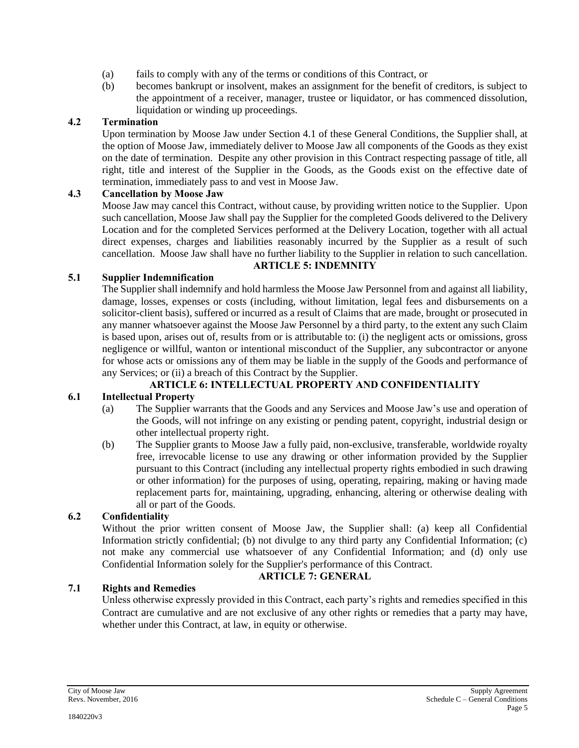- (a) fails to comply with any of the terms or conditions of this Contract, or
- (b) becomes bankrupt or insolvent, makes an assignment for the benefit of creditors, is subject to the appointment of a receiver, manager, trustee or liquidator, or has commenced dissolution, liquidation or winding up proceedings.

#### **4.2 Termination**

Upon termination by Moose Jaw under Section 4.1 of these General Conditions, the Supplier shall, at the option of Moose Jaw, immediately deliver to Moose Jaw all components of the Goods as they exist on the date of termination. Despite any other provision in this Contract respecting passage of title, all right, title and interest of the Supplier in the Goods, as the Goods exist on the effective date of termination, immediately pass to and vest in Moose Jaw.

#### **4.3 Cancellation by Moose Jaw**

Moose Jaw may cancel this Contract, without cause, by providing written notice to the Supplier. Upon such cancellation, Moose Jaw shall pay the Supplier for the completed Goods delivered to the Delivery Location and for the completed Services performed at the Delivery Location, together with all actual direct expenses, charges and liabilities reasonably incurred by the Supplier as a result of such cancellation. Moose Jaw shall have no further liability to the Supplier in relation to such cancellation.

### **ARTICLE 5: INDEMNITY**

#### **5.1 Supplier Indemnification**

The Supplier shall indemnify and hold harmless the Moose Jaw Personnel from and against all liability, damage, losses, expenses or costs (including, without limitation, legal fees and disbursements on a solicitor-client basis), suffered or incurred as a result of Claims that are made, brought or prosecuted in any manner whatsoever against the Moose Jaw Personnel by a third party, to the extent any such Claim is based upon, arises out of, results from or is attributable to: (i) the negligent acts or omissions, gross negligence or willful, wanton or intentional misconduct of the Supplier, any subcontractor or anyone for whose acts or omissions any of them may be liable in the supply of the Goods and performance of any Services; or (ii) a breach of this Contract by the Supplier.

#### **ARTICLE 6: INTELLECTUAL PROPERTY AND CONFIDENTIALITY**

#### **6.1 Intellectual Property**

- (a) The Supplier warrants that the Goods and any Services and Moose Jaw's use and operation of the Goods, will not infringe on any existing or pending patent, copyright, industrial design or other intellectual property right.
- (b) The Supplier grants to Moose Jaw a fully paid, non-exclusive, transferable, worldwide royalty free, irrevocable license to use any drawing or other information provided by the Supplier pursuant to this Contract (including any intellectual property rights embodied in such drawing or other information) for the purposes of using, operating, repairing, making or having made replacement parts for, maintaining, upgrading, enhancing, altering or otherwise dealing with all or part of the Goods.

#### **6.2 Confidentiality**

Without the prior written consent of Moose Jaw, the Supplier shall: (a) keep all Confidential Information strictly confidential; (b) not divulge to any third party any Confidential Information; (c) not make any commercial use whatsoever of any Confidential Information; and (d) only use Confidential Information solely for the Supplier's performance of this Contract.

#### **ARTICLE 7: GENERAL**

#### **7.1 Rights and Remedies**

Unless otherwise expressly provided in this Contract, each party's rights and remedies specified in this Contract are cumulative and are not exclusive of any other rights or remedies that a party may have, whether under this Contract, at law, in equity or otherwise.